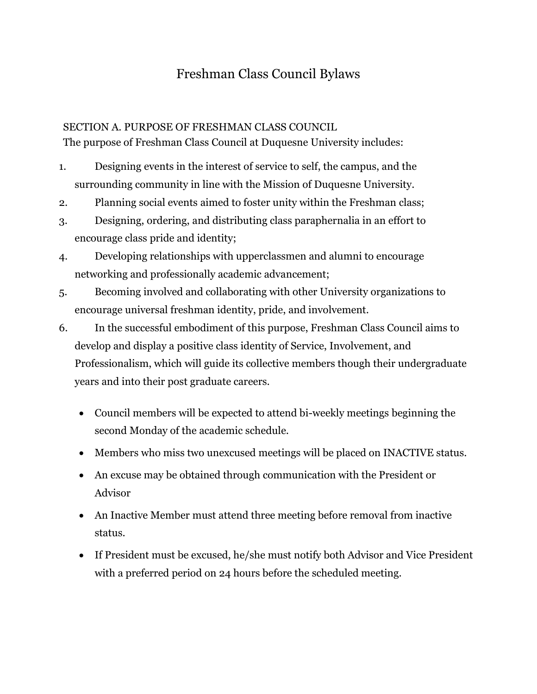# Freshman Class Council Bylaws

# SECTION A. PURPOSE OF FRESHMAN CLASS COUNCIL

The purpose of Freshman Class Council at Duquesne University includes:

- 1. Designing events in the interest of service to self, the campus, and the surrounding community in line with the Mission of Duquesne University.
- 2. Planning social events aimed to foster unity within the Freshman class;
- 3. Designing, ordering, and distributing class paraphernalia in an effort to encourage class pride and identity;
- 4. Developing relationships with upperclassmen and alumni to encourage networking and professionally academic advancement;
- 5. Becoming involved and collaborating with other University organizations to encourage universal freshman identity, pride, and involvement.
- 6. In the successful embodiment of this purpose, Freshman Class Council aims to develop and display a positive class identity of Service, Involvement, and Professionalism, which will guide its collective members though their undergraduate years and into their post graduate careers.
	- Council members will be expected to attend bi-weekly meetings beginning the second Monday of the academic schedule.
	- Members who miss two unexcused meetings will be placed on INACTIVE status.
	- An excuse may be obtained through communication with the President or Advisor
	- An Inactive Member must attend three meeting before removal from inactive status.
	- If President must be excused, he/she must notify both Advisor and Vice President with a preferred period on 24 hours before the scheduled meeting.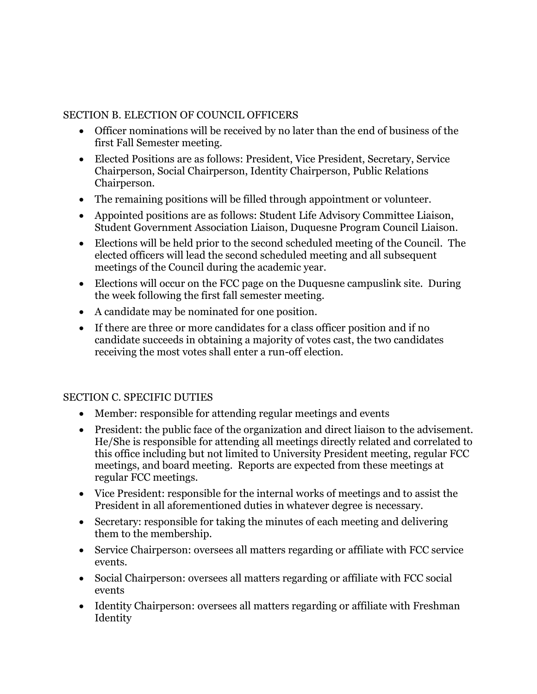### SECTION B. ELECTION OF COUNCIL OFFICERS

- Officer nominations will be received by no later than the end of business of the first Fall Semester meeting.
- Elected Positions are as follows: President, Vice President, Secretary, Service Chairperson, Social Chairperson, Identity Chairperson, Public Relations Chairperson.
- The remaining positions will be filled through appointment or volunteer.
- Appointed positions are as follows: Student Life Advisory Committee Liaison, Student Government Association Liaison, Duquesne Program Council Liaison.
- Elections will be held prior to the second scheduled meeting of the Council. The elected officers will lead the second scheduled meeting and all subsequent meetings of the Council during the academic year.
- Elections will occur on the FCC page on the Duquesne campuslink site. During the week following the first fall semester meeting.
- A candidate may be nominated for one position.
- If there are three or more candidates for a class officer position and if no candidate succeeds in obtaining a majority of votes cast, the two candidates receiving the most votes shall enter a run-off election.

# SECTION C. SPECIFIC DUTIES

- Member: responsible for attending regular meetings and events
- President: the public face of the organization and direct liaison to the advisement. He/She is responsible for attending all meetings directly related and correlated to this office including but not limited to University President meeting, regular FCC meetings, and board meeting. Reports are expected from these meetings at regular FCC meetings.
- Vice President: responsible for the internal works of meetings and to assist the President in all aforementioned duties in whatever degree is necessary.
- Secretary: responsible for taking the minutes of each meeting and delivering them to the membership.
- Service Chairperson: oversees all matters regarding or affiliate with FCC service events.
- Social Chairperson: oversees all matters regarding or affiliate with FCC social events
- Identity Chairperson: oversees all matters regarding or affiliate with Freshman Identity